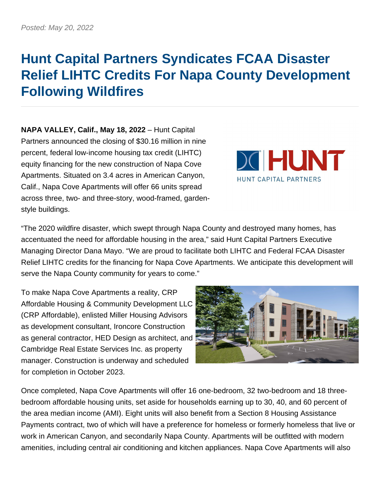## **Hunt Capital Partners Syndicates FCAA Disaster Relief LIHTC Credits For Napa County Development Following Wildfires**

**NAPA VALLEY, Calif., May 18, 2022** – Hunt Capital Partners announced the closing of \$30.16 million in nine percent, federal low-income housing tax credit (LIHTC) equity financing for the new construction of Napa Cove Apartments. Situated on 3.4 acres in American Canyon, Calif., Napa Cove Apartments will offer 66 units spread across three, two- and three-story, wood-framed, gardenstyle buildings.



"The 2020 wildfire disaster, which swept through Napa County and destroyed many homes, has accentuated the need for affordable housing in the area," said Hunt Capital Partners Executive Managing Director Dana Mayo. "We are proud to facilitate both LIHTC and Federal FCAA Disaster Relief LIHTC credits for the financing for Napa Cove Apartments. We anticipate this development will serve the Napa County community for years to come."

To make Napa Cove Apartments a reality, CRP Affordable Housing & Community Development LLC (CRP Affordable), enlisted Miller Housing Advisors as development consultant, Ironcore Construction as general contractor, HED Design as architect, and Cambridge Real Estate Services Inc. as property manager. Construction is underway and scheduled for completion in October 2023.



Once completed, Napa Cove Apartments will offer 16 one-bedroom, 32 two-bedroom and 18 threebedroom affordable housing units, set aside for households earning up to 30, 40, and 60 percent of the area median income (AMI). Eight units will also benefit from a Section 8 Housing Assistance Payments contract, two of which will have a preference for homeless or formerly homeless that live or work in American Canyon, and secondarily Napa County. Apartments will be outfitted with modern amenities, including central air conditioning and kitchen appliances. Napa Cove Apartments will also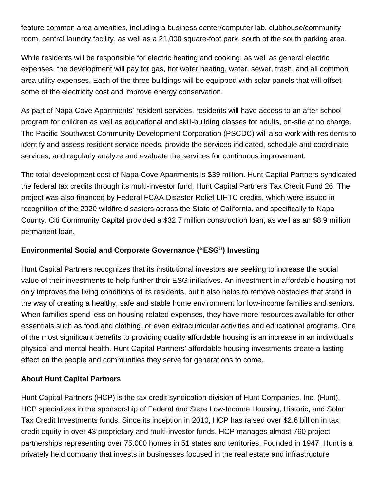feature common area amenities, including a business center/computer lab, clubhouse/community room, central laundry facility, as well as a 21,000 square-foot park, south of the south parking area.

While residents will be responsible for electric heating and cooking, as well as general electric expenses, the development will pay for gas, hot water heating, water, sewer, trash, and all common area utility expenses. Each of the three buildings will be equipped with solar panels that will offset some of the electricity cost and improve energy conservation.

As part of Napa Cove Apartments' resident services, residents will have access to an after-school program for children as well as educational and skill-building classes for adults, on-site at no charge. The Pacific Southwest Community Development Corporation (PSCDC) will also work with residents to identify and assess resident service needs, provide the services indicated, schedule and coordinate services, and regularly analyze and evaluate the services for continuous improvement.

The total development cost of Napa Cove Apartments is \$39 million. Hunt Capital Partners syndicated the federal tax credits through its multi-investor fund, Hunt Capital Partners Tax Credit Fund 26. The project was also financed by Federal FCAA Disaster Relief LIHTC credits, which were issued in recognition of the 2020 wildfire disasters across the State of California, and specifically to Napa County. Citi Community Capital provided a \$32.7 million construction loan, as well as an \$8.9 million permanent loan.

## **Environmental Social and Corporate Governance ("ESG") Investing**

Hunt Capital Partners recognizes that its institutional investors are seeking to increase the social value of their investments to help further their ESG initiatives. An investment in affordable housing not only improves the living conditions of its residents, but it also helps to remove obstacles that stand in the way of creating a healthy, safe and stable home environment for low-income families and seniors. When families spend less on housing related expenses, they have more resources available for other essentials such as food and clothing, or even extracurricular activities and educational programs. One of the most significant benefits to providing quality affordable housing is an increase in an individual's physical and mental health. Hunt Capital Partners' affordable housing investments create a lasting effect on the people and communities they serve for generations to come.

## **About Hunt Capital Partners**

Hunt Capital Partners (HCP) is the tax credit syndication division of Hunt Companies, Inc. (Hunt). HCP specializes in the sponsorship of Federal and State Low-Income Housing, Historic, and Solar Tax Credit Investments funds. Since its inception in 2010, HCP has raised over \$2.6 billion in tax credit equity in over 43 proprietary and multi-investor funds. HCP manages almost 760 project partnerships representing over 75,000 homes in 51 states and territories. Founded in 1947, Hunt is a privately held company that invests in businesses focused in the real estate and infrastructure